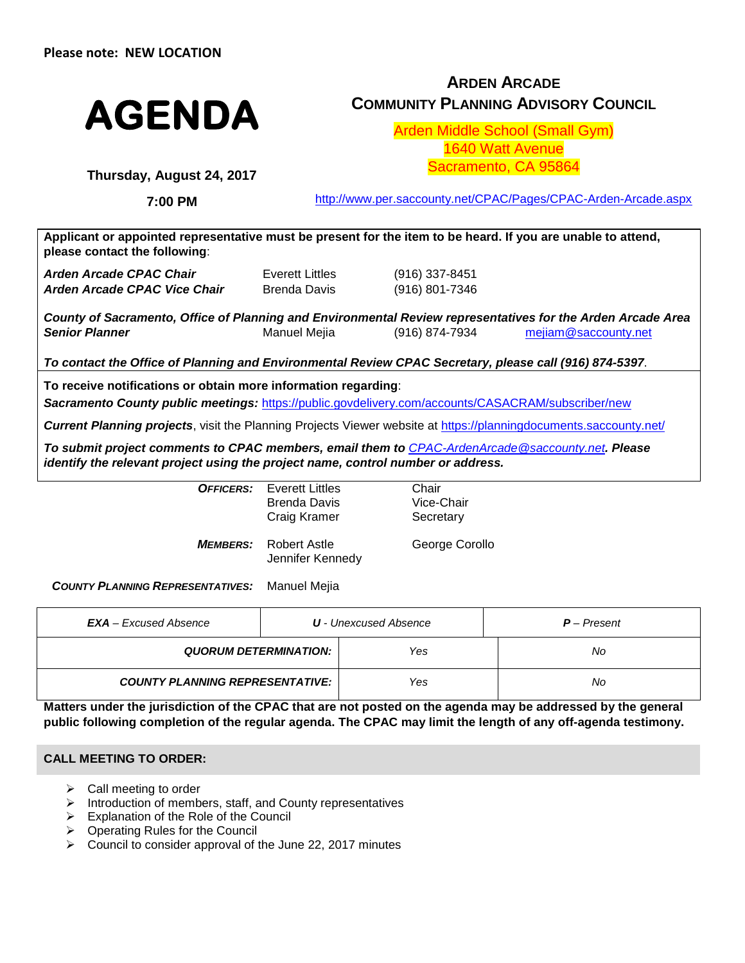

# **ARDEN ARCADE COMMUNITY PLANNING ADVISORY COUNCIL**

Arden Middle School (Small Gym) 1640 Watt Avenue Sacramento, CA 95864

**Thursday, August 24, 2017**

**7:00 PM**

<http://www.per.saccounty.net/CPAC/Pages/CPAC-Arden-Arcade.aspx>

**Applicant or appointed representative must be present for the item to be heard. If you are unable to attend, please contact the following**:

| <b>Arden Arcade CPAC Chair</b> | Everett Littles | (916) 337-8451 |
|--------------------------------|-----------------|----------------|
| Arden Arcade CPAC Vice Chair   | Brenda Davis    | (916) 801-7346 |

*County of Sacramento, Office of Planning and Environmental Review representatives for the Arden Arcade Area Senior Planner* Manuel Mejia (916) 874-7934 [mejiam@saccounty.net](mailto:mejiam@saccounty.net)

*To contact the Office of Planning and Environmental Review CPAC Secretary, please call (916) 874-5397*.

**To receive notifications or obtain more information regarding**:

*Sacramento County public meetings:* <https://public.govdelivery.com/accounts/CASACRAM/subscriber/new>

*Current Planning projects*, visit the Planning Projects Viewer website at<https://planningdocuments.saccounty.net/>

*To submit project comments to CPAC members, email them to [CPAC-ArdenArcade@saccounty.net](mailto:CPAC-ArdenArcade@saccounty.net). Please identify the relevant project using the project name, control number or address.*

> *OFFICERS:* Everett Littles Brenda Davis Craig Kramer

Chair Vice-Chair **Secretary** 

*MEMBERS:* Robert Astle Jennifer Kennedy George Corollo

*COUNTY PLANNING REPRESENTATIVES:* Manuel Mejia

| $EXAMPLE EXcused Absence$              | <b>U</b> - Unexcused Absence | $P$ – Present |
|----------------------------------------|------------------------------|---------------|
| QUORUM DETERMINATION:                  | Yes                          | No.           |
| <b>COUNTY PLANNING REPRESENTATIVE:</b> | Yes                          | No            |

**Matters under the jurisdiction of the CPAC that are not posted on the agenda may be addressed by the general public following completion of the regular agenda. The CPAC may limit the length of any off-agenda testimony.**

## **CALL MEETING TO ORDER:**

- Call meeting to order
- Introduction of members, staff, and County representatives
- $\triangleright$  Explanation of the Role of the Council
- $\triangleright$  Operating Rules for the Council
- $\triangleright$  Council to consider approval of the June 22, 2017 minutes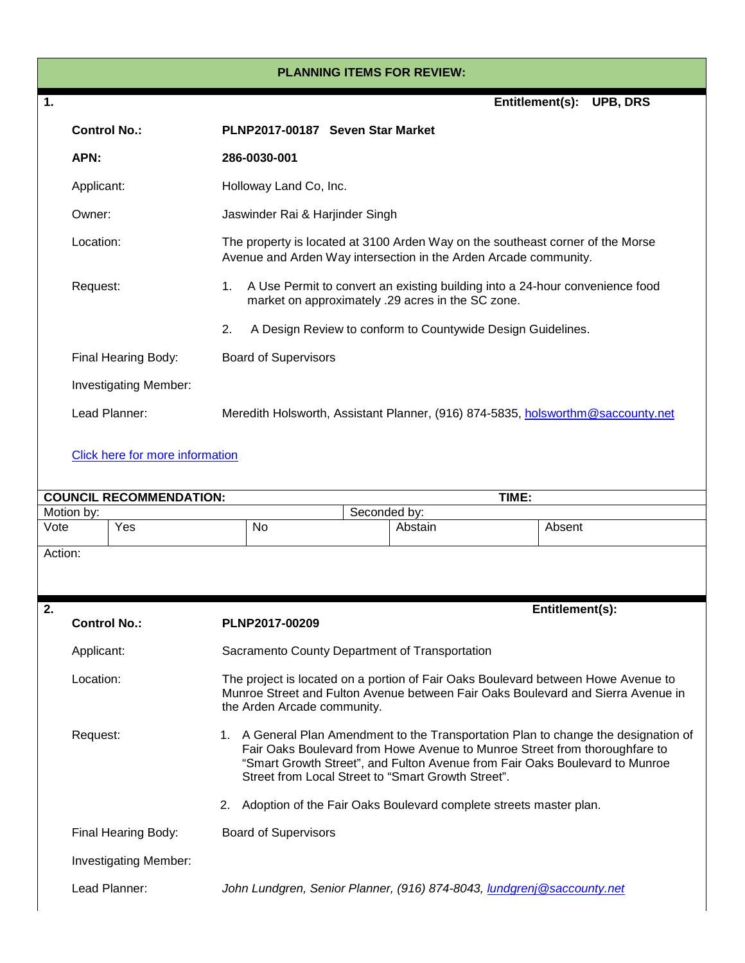#### **PLANNING ITEMS FOR REVIEW:**

| $\mathbf 1$ |                                                                                                                                                     |                                                                                                                                                                                                                                                                                                        |                                 |                         | Entitlement(s): UPB, DRS                                          |  |  |  |
|-------------|-----------------------------------------------------------------------------------------------------------------------------------------------------|--------------------------------------------------------------------------------------------------------------------------------------------------------------------------------------------------------------------------------------------------------------------------------------------------------|---------------------------------|-------------------------|-------------------------------------------------------------------|--|--|--|
|             | <b>Control No.:</b>                                                                                                                                 | PLNP2017-00187 Seven Star Market                                                                                                                                                                                                                                                                       |                                 |                         |                                                                   |  |  |  |
|             | APN:                                                                                                                                                | 286-0030-001                                                                                                                                                                                                                                                                                           |                                 |                         |                                                                   |  |  |  |
|             | Applicant:                                                                                                                                          |                                                                                                                                                                                                                                                                                                        | Holloway Land Co, Inc.          |                         |                                                                   |  |  |  |
|             | Owner:                                                                                                                                              |                                                                                                                                                                                                                                                                                                        | Jaswinder Rai & Harjinder Singh |                         |                                                                   |  |  |  |
|             | Location:                                                                                                                                           | The property is located at 3100 Arden Way on the southeast corner of the Morse<br>Avenue and Arden Way intersection in the Arden Arcade community.                                                                                                                                                     |                                 |                         |                                                                   |  |  |  |
|             | A Use Permit to convert an existing building into a 24-hour convenience food<br>Request:<br>1.<br>market on approximately .29 acres in the SC zone. |                                                                                                                                                                                                                                                                                                        |                                 |                         |                                                                   |  |  |  |
|             |                                                                                                                                                     | 2.                                                                                                                                                                                                                                                                                                     |                                 |                         | A Design Review to conform to Countywide Design Guidelines.       |  |  |  |
|             | Final Hearing Body:                                                                                                                                 | <b>Board of Supervisors</b>                                                                                                                                                                                                                                                                            |                                 |                         |                                                                   |  |  |  |
|             | <b>Investigating Member:</b>                                                                                                                        |                                                                                                                                                                                                                                                                                                        |                                 |                         |                                                                   |  |  |  |
|             | Lead Planner:                                                                                                                                       | Meredith Holsworth, Assistant Planner, (916) 874-5835, holsworthm@saccounty.net                                                                                                                                                                                                                        |                                 |                         |                                                                   |  |  |  |
|             | Click here for more information                                                                                                                     |                                                                                                                                                                                                                                                                                                        |                                 |                         |                                                                   |  |  |  |
|             | <b>COUNCIL RECOMMENDATION:</b>                                                                                                                      |                                                                                                                                                                                                                                                                                                        |                                 |                         | TIME:                                                             |  |  |  |
| Vote        | Motion by:<br>Yes                                                                                                                                   | No                                                                                                                                                                                                                                                                                                     |                                 | Seconded by:<br>Abstain | Absent                                                            |  |  |  |
|             |                                                                                                                                                     |                                                                                                                                                                                                                                                                                                        |                                 |                         |                                                                   |  |  |  |
| Action:     |                                                                                                                                                     |                                                                                                                                                                                                                                                                                                        |                                 |                         |                                                                   |  |  |  |
| 2.          |                                                                                                                                                     |                                                                                                                                                                                                                                                                                                        |                                 |                         | Entitlement(s):                                                   |  |  |  |
|             | <b>Control No.:</b>                                                                                                                                 | PLNP2017-00209                                                                                                                                                                                                                                                                                         |                                 |                         |                                                                   |  |  |  |
|             | Applicant:                                                                                                                                          | Sacramento County Department of Transportation                                                                                                                                                                                                                                                         |                                 |                         |                                                                   |  |  |  |
|             | Location:                                                                                                                                           | The project is located on a portion of Fair Oaks Boulevard between Howe Avenue to<br>Munroe Street and Fulton Avenue between Fair Oaks Boulevard and Sierra Avenue in<br>the Arden Arcade community.                                                                                                   |                                 |                         |                                                                   |  |  |  |
|             | Request:                                                                                                                                            | 1. A General Plan Amendment to the Transportation Plan to change the designation of<br>Fair Oaks Boulevard from Howe Avenue to Munroe Street from thoroughfare to<br>"Smart Growth Street", and Fulton Avenue from Fair Oaks Boulevard to Munroe<br>Street from Local Street to "Smart Growth Street". |                                 |                         |                                                                   |  |  |  |
|             |                                                                                                                                                     | 2.                                                                                                                                                                                                                                                                                                     |                                 |                         | Adoption of the Fair Oaks Boulevard complete streets master plan. |  |  |  |
|             |                                                                                                                                                     |                                                                                                                                                                                                                                                                                                        |                                 |                         |                                                                   |  |  |  |
|             | Final Hearing Body:                                                                                                                                 | <b>Board of Supervisors</b>                                                                                                                                                                                                                                                                            |                                 |                         |                                                                   |  |  |  |

Lead Planner: *John Lundgren, Senior Planner, (916) 874-8043, [lundgrenj@saccounty.net](mailto:lundgrenj@saccounty.net)*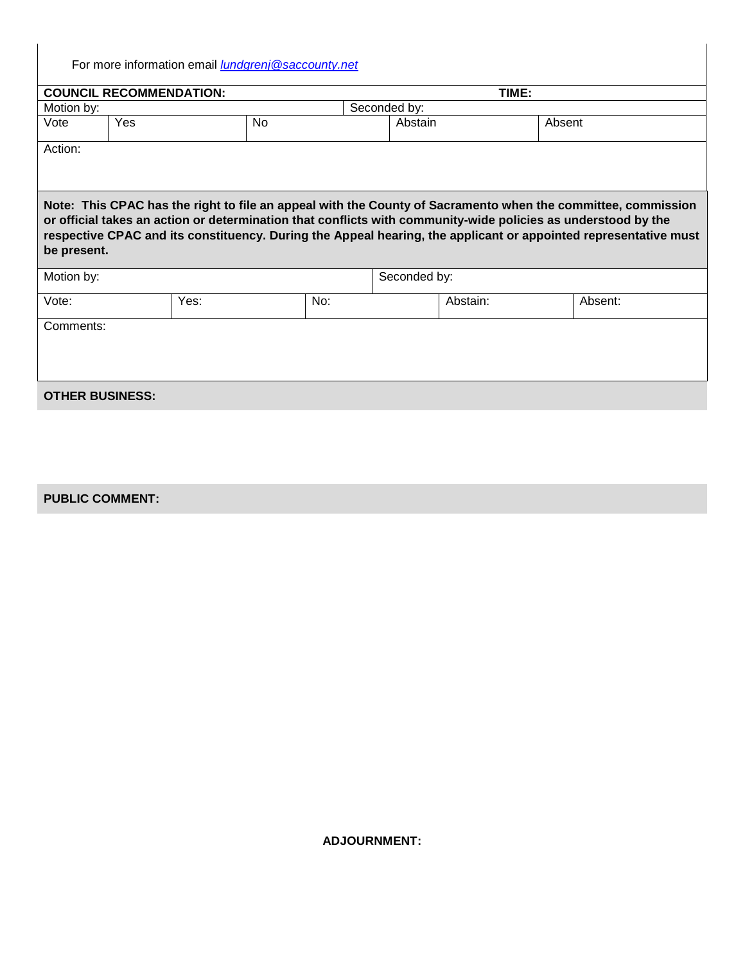For more information email *[lundgrenj@saccounty.net](mailto:lundgrenj@saccounty.net)*

| TIME:<br><b>COUNCIL RECOMMENDATION:</b>                                                                                                                                                                                                                                                                                                                         |            |     |              |              |        |         |  |  |
|-----------------------------------------------------------------------------------------------------------------------------------------------------------------------------------------------------------------------------------------------------------------------------------------------------------------------------------------------------------------|------------|-----|--------------|--------------|--------|---------|--|--|
| Motion by:                                                                                                                                                                                                                                                                                                                                                      |            |     | Seconded by: |              |        |         |  |  |
| Vote                                                                                                                                                                                                                                                                                                                                                            | Yes<br>No. |     |              | Abstain      | Absent |         |  |  |
| Action:                                                                                                                                                                                                                                                                                                                                                         |            |     |              |              |        |         |  |  |
|                                                                                                                                                                                                                                                                                                                                                                 |            |     |              |              |        |         |  |  |
|                                                                                                                                                                                                                                                                                                                                                                 |            |     |              |              |        |         |  |  |
| Note: This CPAC has the right to file an appeal with the County of Sacramento when the committee, commission<br>or official takes an action or determination that conflicts with community-wide policies as understood by the<br>respective CPAC and its constituency. During the Appeal hearing, the applicant or appointed representative must<br>be present. |            |     |              |              |        |         |  |  |
| Motion by:                                                                                                                                                                                                                                                                                                                                                      |            |     |              | Seconded by: |        |         |  |  |
| Vote:                                                                                                                                                                                                                                                                                                                                                           | Yes:       | No: |              | Abstain:     |        | Absent: |  |  |
| Comments:                                                                                                                                                                                                                                                                                                                                                       |            |     |              |              |        |         |  |  |
|                                                                                                                                                                                                                                                                                                                                                                 |            |     |              |              |        |         |  |  |
|                                                                                                                                                                                                                                                                                                                                                                 |            |     |              |              |        |         |  |  |
|                                                                                                                                                                                                                                                                                                                                                                 |            |     |              |              |        |         |  |  |
| <b>OTHER BUSINESS:</b>                                                                                                                                                                                                                                                                                                                                          |            |     |              |              |        |         |  |  |

# **PUBLIC COMMENT:**

**ADJOURNMENT:**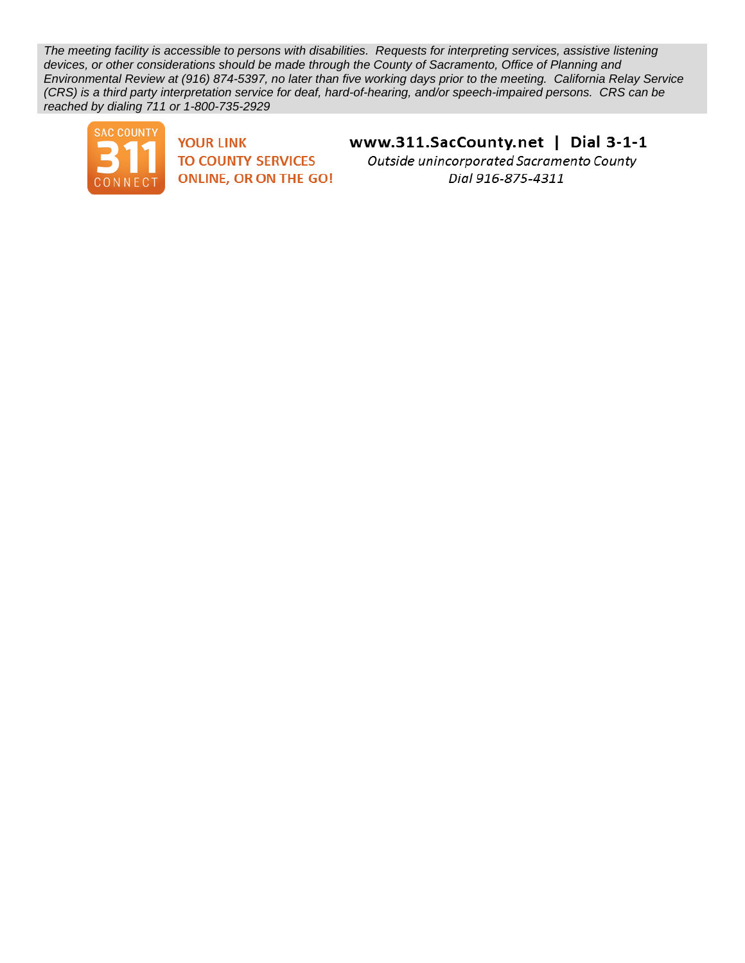*The meeting facility is accessible to persons with disabilities. Requests for interpreting services, assistive listening devices, or other considerations should be made through the County of Sacramento, Office of Planning and Environmental Review at (916) 874-5397, no later than five working days prior to the meeting. California Relay Service (CRS) is a third party interpretation service for deaf, hard-of-hearing, and/or speech-impaired persons. CRS can be reached by dialing 711 or 1-800-735-2929*



**YOUR LINK TO COUNTY SERVICES ONLINE, OR ON THE GO!**  www.311.SacCounty.net | Dial 3-1-1

Outside unincorporated Sacramento County Dial 916-875-4311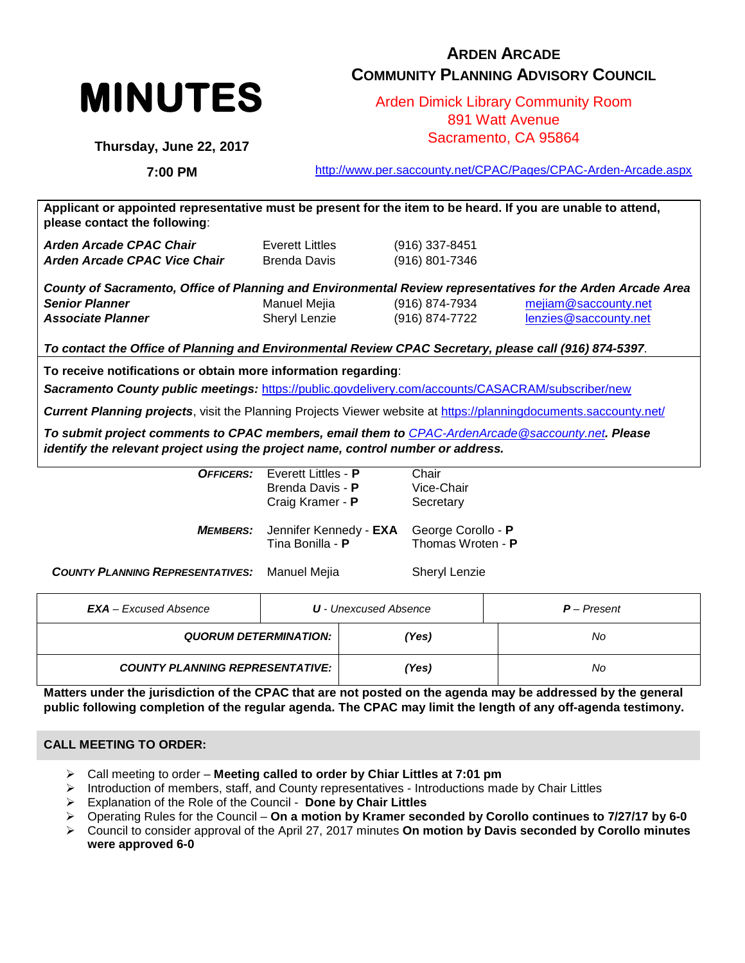

# **ARDEN ARCADE COMMUNITY PLANNING ADVISORY COUNCIL**

Arden Dimick Library Community Room 891 Watt Avenue Sacramento, CA 95864

**Thursday, June 22, 2017**

**7:00 PM**

<http://www.per.saccounty.net/CPAC/Pages/CPAC-Arden-Arcade.aspx>

**Applicant or appointed representative must be present for the item to be heard. If you are unable to attend, please contact the following**: *Arden Arcade CPAC Chair* Everett Littles (916) 337-8451 *Arden Arcade CPAC Vice Chair* Brenda Davis (916) 801-7346 *County of Sacramento, Office of Planning and Environmental Review representatives for the Arden Arcade Area Senior Planner* Manuel Mejia (916) 874-7934 [mejiam@saccounty.net](mailto:mejiam@saccounty.net) *Associate Planner* Sheryl Lenzie (916) 874-7722 [lenzies@saccounty.net](mailto:lenzies@saccounty.net) *To contact the Office of Planning and Environmental Review CPAC Secretary, please call (916) 874-5397*. **To receive notifications or obtain more information regarding**:

*Sacramento County public meetings:* <https://public.govdelivery.com/accounts/CASACRAM/subscriber/new>

*Current Planning projects*, visit the Planning Projects Viewer website at<https://planningdocuments.saccounty.net/>

*To submit project comments to CPAC members, email them to [CPAC-ArdenArcade@saccounty.net](mailto:CPAC-ArdenArcade@saccounty.net). Please identify the relevant project using the project name, control number or address.*

|                        | <b>OFFICERS:</b> Everett Littles - P<br>Brenda Davis - P<br>Craig Kramer - P | Chair<br>Vice-Chair<br>Secretary        |
|------------------------|------------------------------------------------------------------------------|-----------------------------------------|
| <i><b>MEMBERS:</b></i> | Jennifer Kennedy - EXA<br>Tina Bonilla - P                                   | George Corollo - P<br>Thomas Wroten - P |

**COUNTY PLANNING REPRESENTATIVES:** Manuel Mejia Sheryl Lenzie

| $EXAMPLE EXcused Absence$              | <b>U</b> - Unexcused Absence | $P$ – Present |
|----------------------------------------|------------------------------|---------------|
| <b>QUORUM DETERMINATION:</b>           | Yes)                         | No            |
| <b>COUNTY PLANNING REPRESENTATIVE:</b> | ′Yes)                        | No            |

**Matters under the jurisdiction of the CPAC that are not posted on the agenda may be addressed by the general public following completion of the regular agenda. The CPAC may limit the length of any off-agenda testimony.**

## **CALL MEETING TO ORDER:**

- Call meeting to order **Meeting called to order by Chiar Littles at 7:01 pm**
- Introduction of members, staff, and County representatives Introductions made by Chair Littles
- Explanation of the Role of the Council **Done by Chair Littles**
- Operating Rules for the Council **On a motion by Kramer seconded by Corollo continues to 7/27/17 by 6-0**
- Council to consider approval of the April 27, 2017 minutes **On motion by Davis seconded by Corollo minutes were approved 6-0**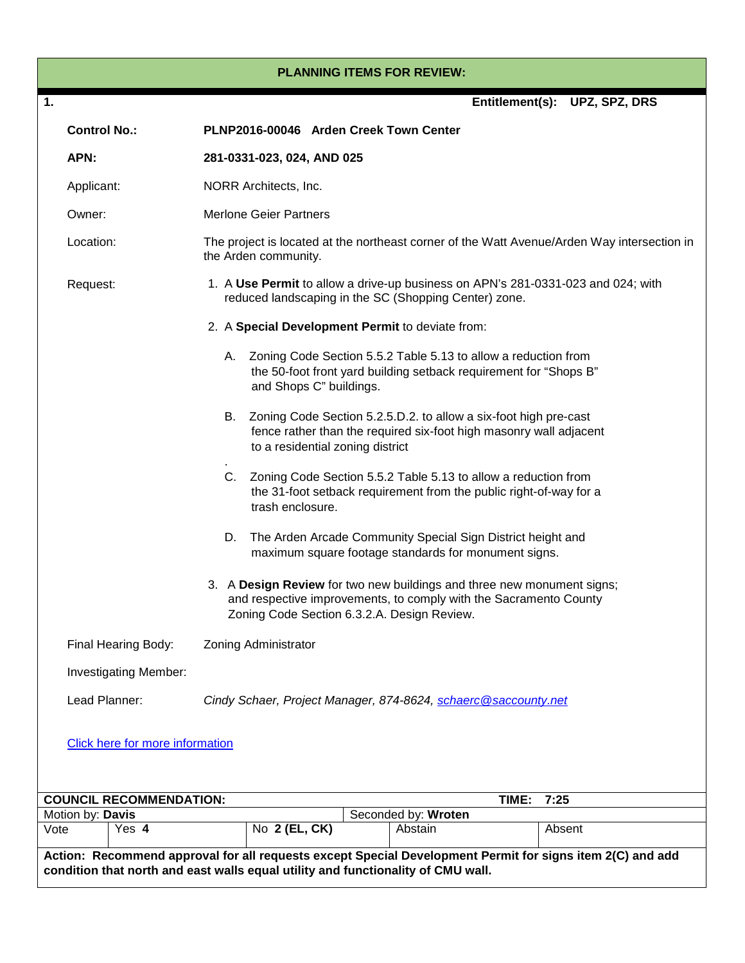#### **PLANNING ITEMS FOR REVIEW:**

| 1.   |                     |                                                                                                                                                                                               |                                                                                                                                                                                  |                                                  |                         |  |                                | Entitlement(s): UPZ, SPZ, DRS                                                                                                          |        |  |
|------|---------------------|-----------------------------------------------------------------------------------------------------------------------------------------------------------------------------------------------|----------------------------------------------------------------------------------------------------------------------------------------------------------------------------------|--------------------------------------------------|-------------------------|--|--------------------------------|----------------------------------------------------------------------------------------------------------------------------------------|--------|--|
|      | <b>Control No.:</b> |                                                                                                                                                                                               |                                                                                                                                                                                  | PLNP2016-00046 Arden Creek Town Center           |                         |  |                                |                                                                                                                                        |        |  |
|      | APN:                |                                                                                                                                                                                               |                                                                                                                                                                                  | 281-0331-023, 024, AND 025                       |                         |  |                                |                                                                                                                                        |        |  |
|      | Applicant:          |                                                                                                                                                                                               | NORR Architects, Inc.                                                                                                                                                            |                                                  |                         |  |                                |                                                                                                                                        |        |  |
|      | Owner:              |                                                                                                                                                                                               | <b>Merlone Geier Partners</b>                                                                                                                                                    |                                                  |                         |  |                                |                                                                                                                                        |        |  |
|      | Location:           |                                                                                                                                                                                               | The project is located at the northeast corner of the Watt Avenue/Arden Way intersection in<br>the Arden community.                                                              |                                                  |                         |  |                                |                                                                                                                                        |        |  |
|      | Request:            |                                                                                                                                                                                               | 1. A Use Permit to allow a drive-up business on APN's 281-0331-023 and 024; with<br>reduced landscaping in the SC (Shopping Center) zone.                                        |                                                  |                         |  |                                |                                                                                                                                        |        |  |
|      |                     |                                                                                                                                                                                               |                                                                                                                                                                                  | 2. A Special Development Permit to deviate from: |                         |  |                                |                                                                                                                                        |        |  |
|      |                     |                                                                                                                                                                                               |                                                                                                                                                                                  |                                                  | and Shops C" buildings. |  |                                | A. Zoning Code Section 5.5.2 Table 5.13 to allow a reduction from<br>the 50-foot front yard building setback requirement for "Shops B" |        |  |
|      |                     |                                                                                                                                                                                               | В.<br>Zoning Code Section 5.2.5.D.2. to allow a six-foot high pre-cast<br>fence rather than the required six-foot high masonry wall adjacent<br>to a residential zoning district |                                                  |                         |  |                                |                                                                                                                                        |        |  |
|      |                     |                                                                                                                                                                                               | $C_{1}$<br>Zoning Code Section 5.5.2 Table 5.13 to allow a reduction from<br>the 31-foot setback requirement from the public right-of-way for a<br>trash enclosure.              |                                                  |                         |  |                                |                                                                                                                                        |        |  |
|      |                     |                                                                                                                                                                                               | The Arden Arcade Community Special Sign District height and<br>D.<br>maximum square footage standards for monument signs.                                                        |                                                  |                         |  |                                |                                                                                                                                        |        |  |
|      |                     | 3. A Design Review for two new buildings and three new monument signs;<br>and respective improvements, to comply with the Sacramento County<br>Zoning Code Section 6.3.2.A. Design Review.    |                                                                                                                                                                                  |                                                  |                         |  |                                |                                                                                                                                        |        |  |
|      |                     | Final Hearing Body:                                                                                                                                                                           |                                                                                                                                                                                  | Zoning Administrator                             |                         |  |                                |                                                                                                                                        |        |  |
|      |                     | Investigating Member:                                                                                                                                                                         |                                                                                                                                                                                  |                                                  |                         |  |                                |                                                                                                                                        |        |  |
|      | Lead Planner:       |                                                                                                                                                                                               |                                                                                                                                                                                  |                                                  |                         |  |                                | Cindy Schaer, Project Manager, 874-8624, schaerc@saccounty.net                                                                         |        |  |
|      |                     | <b>Click here for more information</b>                                                                                                                                                        |                                                                                                                                                                                  |                                                  |                         |  |                                |                                                                                                                                        |        |  |
|      |                     | <b>COUNCIL RECOMMENDATION:</b>                                                                                                                                                                |                                                                                                                                                                                  |                                                  |                         |  |                                | TIME:                                                                                                                                  | 7:25   |  |
| Vote | Motion by: Davis    | Yes 4                                                                                                                                                                                         |                                                                                                                                                                                  | No 2 (EL, CK)                                    |                         |  | Seconded by: Wroten<br>Abstain |                                                                                                                                        | Absent |  |
|      |                     | Action: Recommend approval for all requests except Special Development Permit for signs item 2(C) and add<br>condition that north and east walls equal utility and functionality of CMU wall. |                                                                                                                                                                                  |                                                  |                         |  |                                |                                                                                                                                        |        |  |